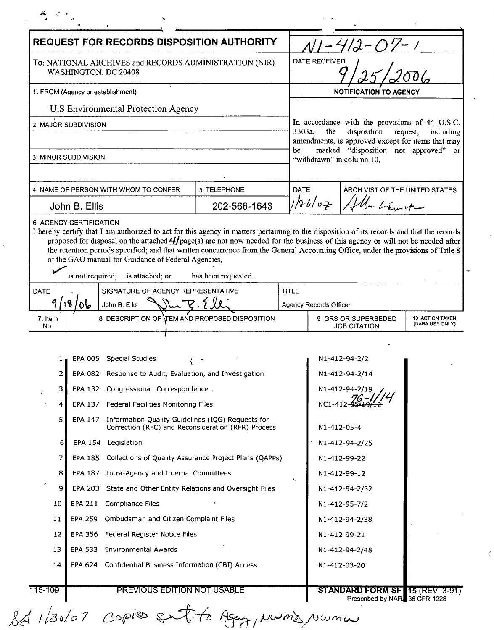| REQUEST FOR RECORDS DISPOSITION AUTHORITY                                      |                                                                                                                                                                                          |                     |                        |                                                                                  |                                    |
|--------------------------------------------------------------------------------|------------------------------------------------------------------------------------------------------------------------------------------------------------------------------------------|---------------------|------------------------|----------------------------------------------------------------------------------|------------------------------------|
| To: NATIONAL ARCHIVES and RECORDS ADMINISTRATION (NIR)<br>WASHINGTON, DC 20408 |                                                                                                                                                                                          |                     |                        | DATE RECEIVED                                                                    |                                    |
| 1. FROM (Agency or establishment)                                              |                                                                                                                                                                                          |                     |                        | <b>NOTIFICATION TO AGENCY</b>                                                    |                                    |
|                                                                                | <b>U.S Environmental Protection Agency</b>                                                                                                                                               |                     |                        |                                                                                  |                                    |
|                                                                                | 2 MAJOR SUBDIVISION                                                                                                                                                                      |                     |                        | In accordance with the provisions of 44 U.S.C.                                   |                                    |
|                                                                                |                                                                                                                                                                                          |                     | 3303a,                 | the<br>disposition request,<br>amendments, is approved except for items that may | including                          |
| 3 MINOR SUBDIVISION                                                            |                                                                                                                                                                                          |                     | be                     | marked "disposition not approved" or<br>"withdrawn" in column 10.                |                                    |
|                                                                                |                                                                                                                                                                                          |                     |                        |                                                                                  |                                    |
|                                                                                | 4 NAME OF PERSON WITH WHOM TO CONFER                                                                                                                                                     | 5. TELEPHONE        | <b>DATE</b>            | ARCHIVIST OF THE UNITED STATES                                                   |                                    |
| John B. Ellis                                                                  |                                                                                                                                                                                          | 202-566-1643        |                        | $1/h$ bl v $\neq$<br>Un Liberation                                               |                                    |
| 6 AGENCY CERTIFICATION                                                         |                                                                                                                                                                                          |                     |                        |                                                                                  |                                    |
|                                                                                | I hereby certify that I am authorized to act for this agency in matters pertaining to the disposition of its records and that the records                                                |                     |                        |                                                                                  |                                    |
|                                                                                | proposed for disposal on the attached $H_{\text{page}}(s)$ are not now needed for the business of this agency or will not be needed after                                                |                     |                        |                                                                                  |                                    |
|                                                                                | the retention periods specified; and that written concurrence from the General Accounting Office, under the provisions of Title 8<br>of the GAO manual for Guidance of Federal Agencies, |                     |                        |                                                                                  |                                    |
|                                                                                |                                                                                                                                                                                          |                     |                        |                                                                                  |                                    |
|                                                                                | is not required; is attached; or                                                                                                                                                         | has been requested. |                        |                                                                                  |                                    |
| <b>DATE</b>                                                                    | SIGNATURE OF AGENCY REPRESENTATIVE                                                                                                                                                       |                     | <b>TITLE</b>           |                                                                                  |                                    |
| ۱۹.                                                                            | ما0<br>John B. Ellis                                                                                                                                                                     |                     | Agency Records Officer |                                                                                  |                                    |
| 7. Item<br>No.                                                                 | 8 DESCRIPTION OF NTEM AND PROPOSED DISPOSITION                                                                                                                                           |                     |                        | 9 GRS OR SUPERSEDED<br><b>JOB CITATION</b>                                       | 10 ACTION TAKEN<br>(NARA USE ONLY) |
|                                                                                |                                                                                                                                                                                          |                     |                        |                                                                                  |                                    |
|                                                                                |                                                                                                                                                                                          |                     |                        |                                                                                  |                                    |
|                                                                                | EPA 005 Special Studies                                                                                                                                                                  |                     |                        | N1-412-94-2/2                                                                    |                                    |
| 2 I                                                                            | Response to Audit, Evaluation, and Investigation<br>EPA 082                                                                                                                              |                     |                        |                                                                                  |                                    |
|                                                                                |                                                                                                                                                                                          |                     |                        | N1-412-94-2/14                                                                   |                                    |
| 3                                                                              | EPA 132 Congressional Correspondence.                                                                                                                                                    |                     |                        | N1-412-94-2/19                                                                   |                                    |
| 4                                                                              | EPA 137 Federal Facilities Monitoring Files                                                                                                                                              |                     |                        | NC1-412                                                                          |                                    |
| 5                                                                              | EPA 147 Information Quality Guidelines (IQG) Requests for<br>Correction (RFC) and Reconsideration (RFR) Process                                                                          |                     |                        | N1-412-05-4                                                                      |                                    |
| 61                                                                             | EPA 154 Legislation                                                                                                                                                                      |                     |                        | N1-412-94-2/25                                                                   |                                    |
| 7                                                                              | EPA 185 Collections of Quality Assurance Project Plans (QAPPs)                                                                                                                           |                     |                        | N1-412-99-22                                                                     |                                    |
| 8                                                                              | EPA 187 Intra-Agency and Internal Committees                                                                                                                                             |                     |                        | N1-412-99-12                                                                     |                                    |
| 9.                                                                             | EPA 203 State and Other Entity Relations and Oversight Files                                                                                                                             |                     |                        | N1-412-94-2/32                                                                   |                                    |
| 10                                                                             | EPA 211 Compliance Files                                                                                                                                                                 |                     |                        | N1-412-95-7/2                                                                    |                                    |
| 11                                                                             | EPA 259 Ombudsman and Citizen Complaint Files                                                                                                                                            |                     |                        | N <sub>1</sub> -412-94-2/38                                                      |                                    |
| 12                                                                             | EPA 356 Federal Register Notice Files                                                                                                                                                    |                     |                        | N1-412-99-21                                                                     |                                    |
| 13                                                                             | EPA 533 Environmental Awards                                                                                                                                                             |                     |                        | N <sub>1</sub> -412-94-2/48                                                      |                                    |
| 14                                                                             | EPA 624 Confidential Business Information (CBI) Access                                                                                                                                   |                     |                        | N1-412-03-20                                                                     |                                    |
| 115-109                                                                        | <b>PREVIOUS EDITION NOT USABLE</b>                                                                                                                                                       |                     |                        | <b>STANDARD FORM SF</b> 15 (REV $3-91$ )<br>Prescribed by NAR 36 CFR 1228        |                                    |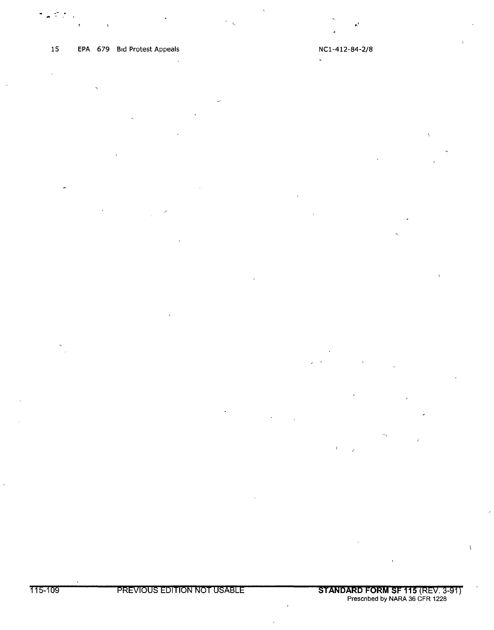.- . ... I. ,

15 EPA 679 Bid Protest Appeals NCl-412-84-2/8  $\ddot{\phantom{0}}$ 

 $\sim$  . The set of the set of the set of the set of the set of the set of the set of the set of the set of the set of the set of the set of the set of the set of the set of the set of the set of the set of the set of the s

 $\overline{1}$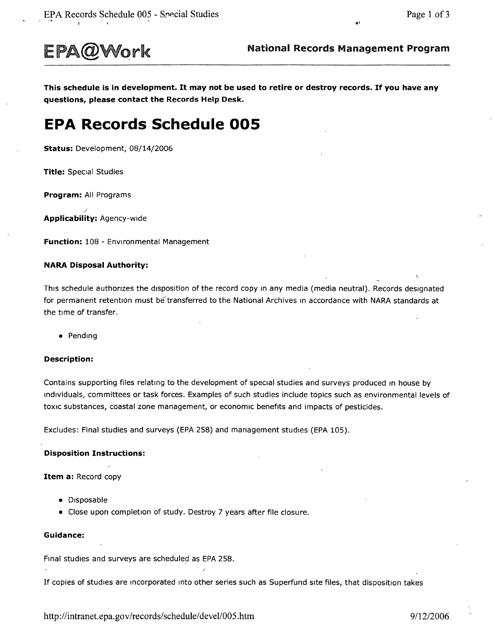

'"

This schedule is in development. It may not be used to retire or destroy records. If you have any questions, please contact the Records Help Desk.

# **EPA Records Schedule 005**

Status: Development, 08/14/2006

Title: Special Studies

Program: All Programs

~ Applicability: Agency-wide

Function: 108 - Environmental Management

#### NARA Disposal Authority:

This schedule authorizes the disposition of the record copy in any media (media neutral). Records designated for permanent retention must be transferred to the National Archives in accordance with NARA standards at the time of transfer.

• Pending

#### Description:

Contains supporting files relating to the development of special studies and surveys produced in house by individuals, committees or task forces. Examples of such studies include topics such as environmental levels of toxic substances, coastal zone management, or economic benefits and impacts of pesticides.

Excludes: Final studies and surveys (EPA 258) and management studies (EPA 105).

#### Disposition Instructions:

Item a: Record copy

- Disposable
- Close upon completion of study. Destroy 7 years after file closure.

#### Guidance:

Final studies and surveys are scheduled as EPA258.

If copies of studies are Incorporated Into other series such as Superfund site files, that disposition takes

<http://intranet.epa.gov/records/schedule/> devel1005.htm *9/1212006*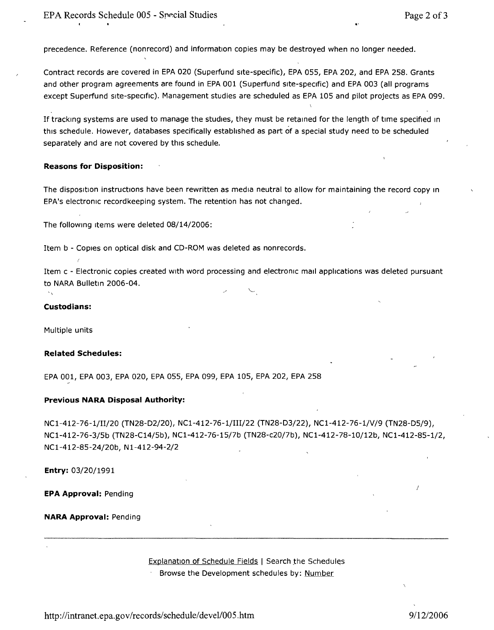precedence. Reference (nonrecord) and information copies may be destroyed when no longer needed.

Contract records are covered in EPA020 (Superfund site-specific), EPA 055, EPA 202, and EPA 258. Grants and other program agreements are found in EPA 001 (Superfund site-specific) and EPA 003 (all programs except Superfund site-specific). Management studies are scheduled as EPA 105 and pilot projects as EPA099.

If tracking systems are used to manage the studies, they must be retained for the length of time specified In this schedule. However, databases specifically established as part of a special study need to be scheduled separately and are not covered by this schedule.

#### **Reasons for Disposition:**

The disposition instructions have been rewritten as media neutral to allow for maintaining the record copy In EPA's electronic recordkeeping system. The retention has not changed.

The following Items were deleted 08/14/2006:

Item b - Copies on optical disk and CD-ROM was deleted as nonrecords.

Item c - Electronic copies created with word processing and electronic mall applications was deleted pursuant to NARA Bulletin 2006-04.

#### **Custodians:**

Multiple units

#### **Related Schedules:**

EPA 001, EPA 003, EPA 020, EPA 055, EPA 099, EPA 105, EPA 202, EPA 258

#### **Previous NARA Disposal Authority:**

NC1-412-76-1/II/20 (TN28-D2/20), NC1-412-76-1/III/22 (TN28-D3/22), NC1-412-76-1/V/9 (TN28-D5/9), NCl-412-76-3/5b (TN28-C14/5b), NCl-412-76-15/7b (TN28-c20/7b), NCl-412-78-10/12b, NCl-412-85-1/2, NCl-412-85-24/20b, Nl-412-94-2/2

**Entry:** 03/20/1991

**EPA Approval:** Pending

#### **NARA Approval:** Pending

Explanation of Schedule Fields | Search the Schedules Browse the Development schedules by: Number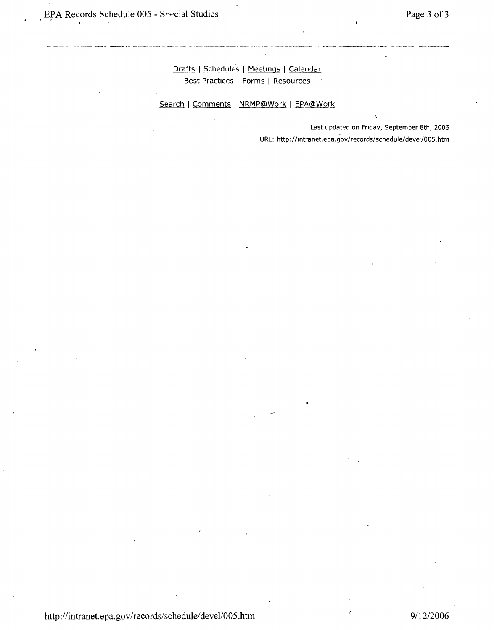Drafts | Schedules | Meetings | Calendar Best Practices I Forms I Resources

Search | Comments | NRMP@Work | EPA@Work

"- Last updated on Fnday, September 8th, 2006 URL: <http://mtranet.epa.gov/records/schedule/devel/OOS.> htm

http://intranet.epa.gov/records/schedule/devel/005.htm 9/12/2006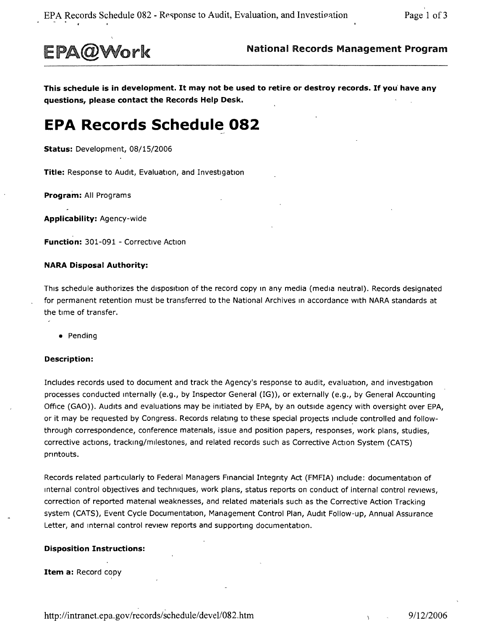

EPA@Work National Records Management Program

This schedule is in development. It may not be used to retire or destroy records. If you' have any questions, please contact the Records Help Desk.

# **EPA Records Schedule 082**

Status: Development, 08/15/2006

Title: Response to Audit, Evaluation, and Investigation

Program: All Programs

Applicability: Agency-wide

Function: 301-091 - Corrective Action

#### NARA Disposal Authority:

This schedule authorizes the disposition of the record copy in any media (media neutral). Records designated for permanent retention must be transferred to the National Archives in accordance with NARA standards at the time of transfer.

• Pending

#### Description:

Includes records used to document and track the Agency's response to audit, evaluation, and investigation processes conducted Internally (e.g., by Inspector General (IG)), or externally (e.g., by General Accounting Office (GAO)). Audits and evaluations may be initiated by EPA, by an outside agency with oversight over EPA, or it may be requested by Congress. Records relating to these special projects Include controlled and followthrough correspondence, conference materials, issue and position papers, responses, work plans, studies, corrective actions, tracking/milestones, and related records such as Corrective Action System (CATS) printouts.

Records related particularly to Federal Managers Financial Integnty Act (FMFIA) Include: documentation of Internal control objectives and techniques, work plans, status reports on conduct of internal control reviews, correction of reported matenal weaknesses, and related materials such as the Corrective Action Tracking system (CATS), Event Cycle Documentation, Management Control Plan, Audit Follow-up, Annual Assurance Letter, and internal control review reports and supporting documentation.

#### Disposition Instructions:

Item a: Record copy

<http://intranet.epa.gov/records/schedule/devel/082.htm> 9/12/2006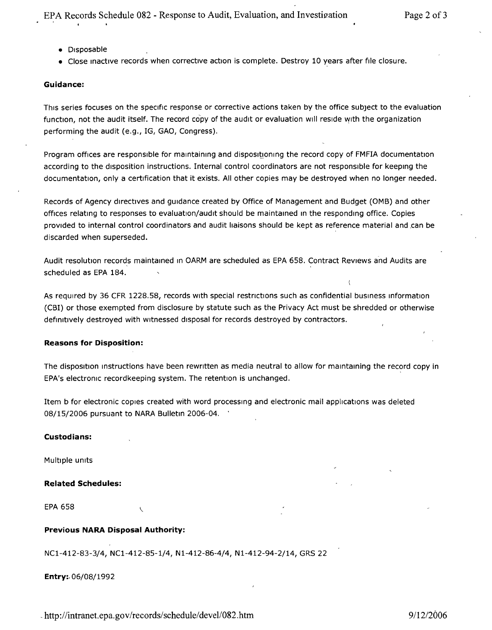- Disposable
- Close inactive records when corrective action is complete. Destroy 10 years after file closure.

#### **Guidance:**

This series focuses on the specific response or corrective actions taken by the office subject to the evaluation function, not the audit itself. The record copy of the audit or evaluation will reside wrth the organization performing the audit (e.g., IG, GAO, Congress).

Program offices are responsible for maintaining and dispositioning the record copy of FMFIA documentation according to the disposition instructions. Internal control coordinators are not responsible for keeping the documentation, only a certification that it exists. All other copies may be destroyed when no longer needed.

Records of Agency directives and qurdance created by Office of Management and Budget (OMB) and other offices relating to responses to evaluation/audit should be maintained In the responding office. Copies provided to internal control coordinators and audit liaisons should be kept as reference material and can be discarded when superseded.

Audit resolution records maintained In OARM are scheduled as EPA658. Contract Reviews and Audits are scheduled as EPA 184.

As required by 36 CFR 1228.58, records with special restrictions such as confidential business information (CBI) or those exempted from disclosure by statute such as the Privacy Act must be shredded or otherwise definitively destroyed with witnessed disposal for records destroyed by contractors.

#### **Reasons for Disposition:**

The disposition Instructions have been rewritten as media neutral to allow for maintaining the record copy in EPA's electronic recordkeeping system. The retention is unchanged.

Item b for electronic copies created with word processing and electronic mail applications was deleted 08/15/2006 pursuant to NARA Bulletin 2006-04.

#### **Custodians:**

Multiple units

#### **Related Schedules:**

EPA 658

#### **Previous NARA Disposal Authority:**

NC1-412-83-3/4, NC1-412-85-1/4, N1-412-86-4/4, N1-412-94-2/14, GRS 22

Entry:. 06/08/1992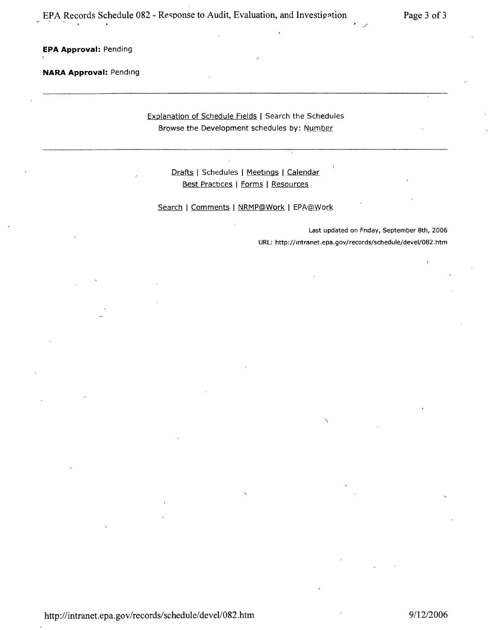**EPA Approval:** Pending

**NARA Approval:** Pending

Explanation of Schedule Fields | Search the Schedules Browse the Development schedules by: Number

Drafts | Schedules | Meetings | Calendar Best Practices | Forms | Resources

Search | Comments | NRMP@Work | EPA@Work

Last updated on Friday, September 8th, 2006 URL: <http://mtranet.epa.gov/records/schedule/deveI/082.htm>

'/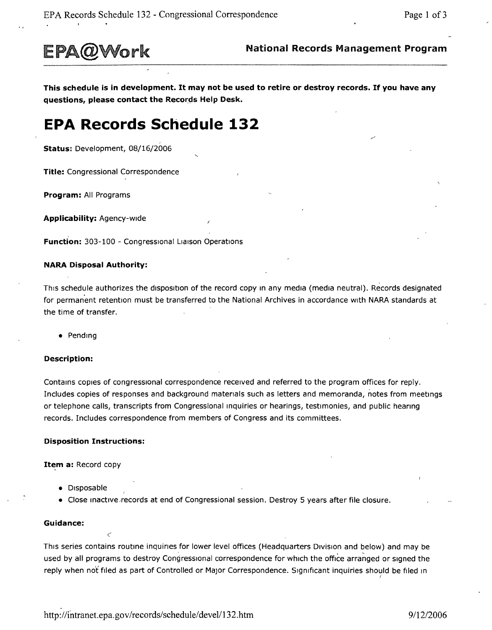

This schedule is in development. It may not be used to retire or destroy records. If you have any **questions, please contact the** Records **Help Desk.**

# **EPA Records Schedule 132**

**Status:** Development, 08/16/2006

**Title:** Congressional Correspondence

**Program:** All Programs

**Applicability:** Agency-wide

**Function:** 303-100 - Congressional Liaison Operations

#### **NARA Disposal Authority:**

This schedule authorizes the disposition of the record copy In any media (media neutral). Records designated for permanent retention must be transferred to the National Archives in accordance with NARA standards at the time of transfer.

• Pending

#### **Description:**

Contains copies of congressional correspondence received and referred to the program offices for reply. Includes copies of responses and background materials such as letters and memoranda, notes from meetings or telephone calls, transcripts from Congressional Inquiries or hearings, testimonies, and public hearing records. Includes correspondence from members of Congress and its committees.

#### **Disposition Instructions:**

*c*

**Item a: Record copy** 

- Disposable
- Close inactive records at end of Congressional session. Destroy 5 years after file closure.

#### **Guidance:**

This series contains routine inquines for lower level offices (Headquarters Drvisron and below) and may be used by all programs to destroy Congressional correspondence for which the office arranqed or Signed the reply when not filed as part of Controlled or Major Correspondence. Significant inquiries should be filed in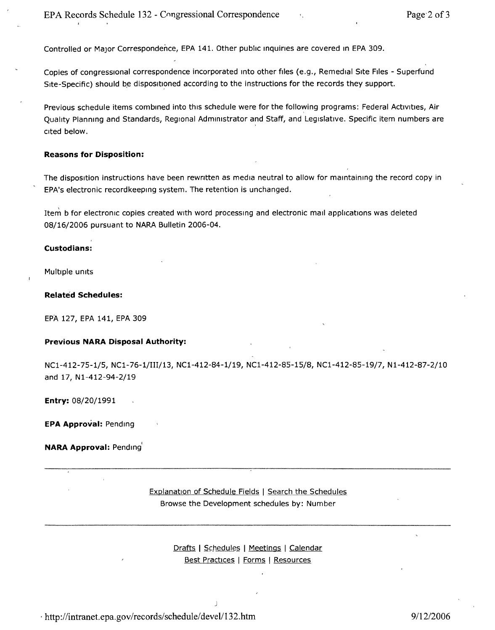Controlled or Major Correspondence, EPA 141. Other public inquiries are covered in EPA 309.

Copies of conqresstonal correspondence incorporated Into other files (e.g., Remedial Site Files - Superfund Site-Specific) should be dispositroned according to the instructions for the records they support.

Previous schedule items combined into this schedule were for the following programs: Federal Activities, Air Quality Planning and Standards, Regional Administrator and Staff, and Legislative. Specific item numbers are cited below.

#### **Reasons for Disposition:**

The disposition instructions have been rewritten as media neutral to allow for maintaining the record copy in EPA's electronic recordkeepinq system. The retention is unchanged.

Item b for electronic copies created with word processing and electronic mall applications was deleted 08/16/2006 pursuant to NARA Bulletin 2006-04.

#### **Custodians:**

Multiple units

#### **Related Schedules:**

EPA 127, EPA 141, EPA 309

#### **Previous NARA Disposal Authority:**

NCl-412-75-1/5, NCl-76-1/III/13, NCl-412-84-1/19, NCl-412-85-15/8, NCl-412-85-19/7, Nl-412-87-2/10 and 17, Nl-412-94-2/19

**Entry:** 08/20/1991

**EPA Approval:** Pending

#### **NARA Approval: Pending**

Explanation of Schedule Fields | Search the Schedules Browse the Development schedules by: Number

### Drafts | Schedules | Meetings | Calendar Best Practices I Forms I Resources

j

, <http://intranet.epa.gov/records/schedule/> devell13 2.htm *9112/2006*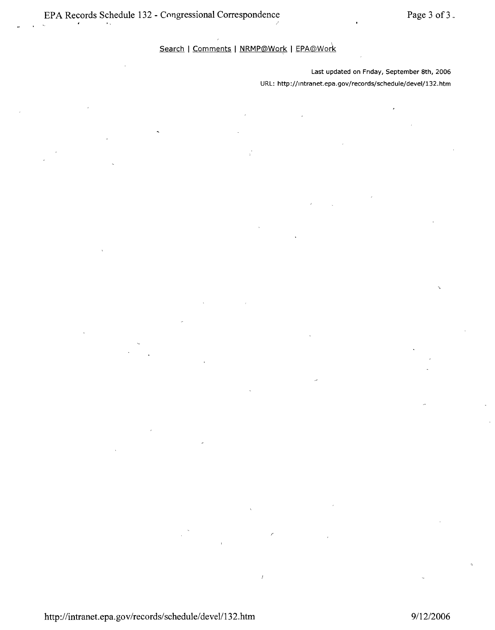Search | Comments | NRMP@Work | EPA@Work

 $\overline{1}$ 

Last updated on Friday, September 8th, 2006 URL: <http://lntranet.epa.gov/records/schedule/deveI/132.> htm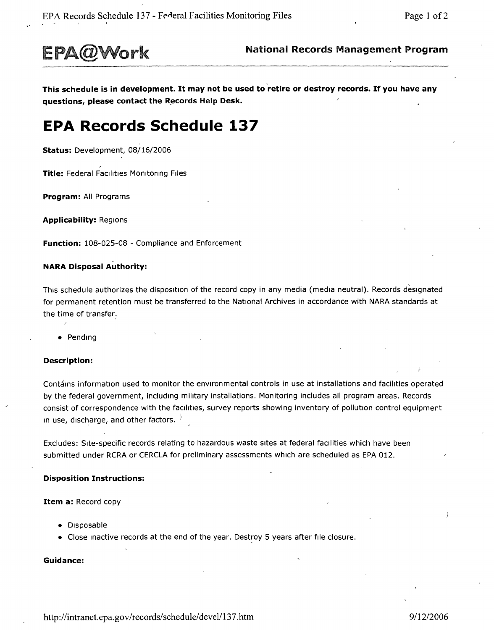

This schedule is in development. It may not be used to retire or destroy records. If you have any **questions, please contact the** R~cords **Help Desk.**

# **EPA Records Schedule 137**

**Status:** Development, 08/16/2006

**Title:** Federal Facilities Monitoring Files

**Program:** All Programs

**Applicability:** Regions

**Function:** 108-025-08 - Compliance and Enforcement

#### **NARA Disposal Authority:**

This schedule authorizes the disposition of the record copy in any media (media neutral). Records designated for permanent retention must be transferred to the National Archives in accordance with NARA standards at the time of transfer.

• Pending

#### **Description:**

Contains information used to monitor the environmental controls in use at installations and facilities operated by the federal government, including military installations. Monitoring includes all program areas. Records consist of correspondence with the facilities, survey reports showing inventory of pollution control equipment In use, discharge, and other factors.  $\frac{1}{2}$ 

Excludes: Site-specific records relating to hazardous waste sites at federal facilities which have been submitted under RCRA or CERCLA for preliminary assessments which are scheduled as EPA 012.

#### **Disposition Instructions:**

**Item a:** Record copy

- Disposable
- Close Inactive records at the end of the year. Destroy 5 years after file closure.

#### **Guidance:**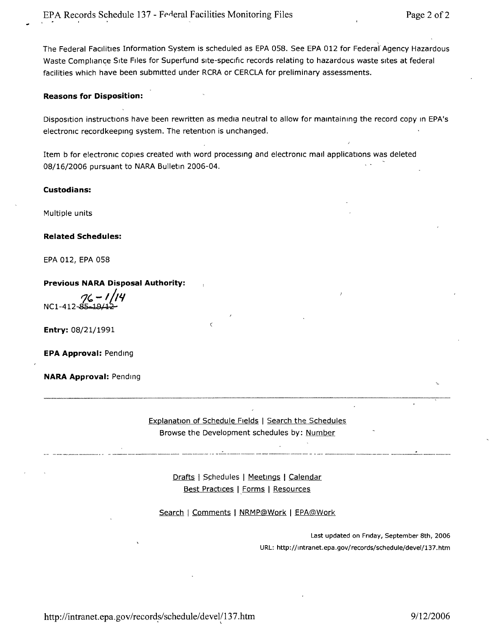The Federal Facilities Information System is scheduled as EPA 058. See EPA 012 for Federal Agency Hazardou: Waste Compliance Site Files for Superfund site-specific records relating to hazardous waste sites at federal facilities which have been submitted under RCRA or CERCLA for preliminary assessments,

#### **Reasons for Disposition:**

Disposition instructions have been rewritten as media neutral to allow for maintaining the record copy in EPA's electronic recordkeeprnq system, The retention is unchanged,

Item b for electronic copies created with word processing and electronic mall applications was deleted 08/16/2006 pursuant to NARA Bulletin 2006-04,

 $\overline{\phantom{0}}$ 

#### **Custodians:**

Multiple units

#### **Related Schedules:**

EPA 012, EPA 058

#### **Previous NARA Disposal Authority:**

*t71 -I!t"*  $NC1-412$ 

**Entry:** 08/21/1991

**EPA Approval:** Pending

**NARA Approval:** Pending

Explanation of Schedule Fields I Search the Schedules Browse the Development schedules by: <u>Number</u>

- . -- --~--------~-- - - --~----~-----------~--~~----- --------- -----------~~- - ~--------- ---~--~------~-------~--

Drafts | Schedules | Meetings | Calendar <u>Best Practices</u> | <u>Forms</u> | <u>Resources</u>

Search | Comments | NRMP@Work | EPA@Work

Last updated on Friday, September 8th, 2006 URL: <http://mtranet.epa.gov/records/schedule/devel/137> .htm

<http://intranet.epa.gov/records/schedule/>devel/137.htm 9/12/2006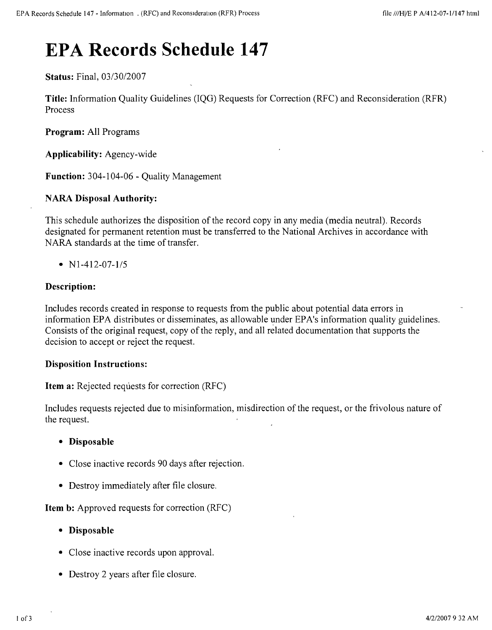# **EPA Records Schedule 147**

**Status:** Final, *03130/2007*

**Title:** Information Quality Guidelines (lQG) Requests for Correction (RFC) and Reconsideration (RFR) Process

**Program:** All Programs

**Applicability:** Agency-wide

**Function:** 304-104-06 - Quality Management

# **NARA Disposal Authority:**

This schedule authorizes the disposition of the record copy in any media (media neutral). Records designated for permanent retention must be transferred to the National Archives in accordance with NARA standards at the time of transfer.

*• Nl-412-07-1/5*

# **Description:**

Includes records created in response to requests from the public about potential data errors in information EPA distributes or disseminates, as allowable under EPA's information quality guidelines. Consists of the original request, copy of the reply, and all related documentation that supports the decision to accept or reject the request.

# **Disposition Instructions:**

**Item a:** Rejected requests for correction (RFC)

Includes requests rejected due to misinformation, misdirection of the request, or the frivolous nature of the request.

- **• Disposable**
- Close inactive records 90 days after rejection.
- Destroy immediately after file closure.

**Item b:** Approved requests for correction (RFC)

- **• Disposable**
- Close inactive records upon approval.
- Destroy 2 years after file closure.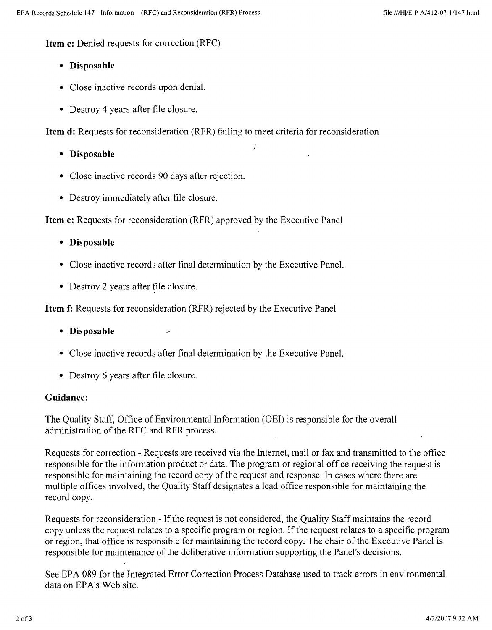**Item c:** Denied requests for correction (RFC)

- **• Disposable**
- Close inactive records upon denial.
- Destroy 4 years after file closure.

**Item d:** Requests for reconsideration (RFR) failing to meet criteria for reconsideration

- **• Disposable**
- Close inactive records 90 days after rejection.
- Destroy immediately after file closure.

**Item e:** Requests for reconsideration (RFR) approved by the Executive Panel

- **• Disposable**
- Close inactive records after final determination by the Executive Panel.
- Destroy 2 years after file closure.

**Item f:** Requests for reconsideration (RFR) rejected by the Executive Panel

- **• Disposable**
- Close inactive records after final determination by the Executive Panel.
- Destroy 6 years after file closure.

# **Guidance:**

The Quality Staff, Office of Environmental Information (OEI) is responsible for the overall administration of the RFC and RFR process.

Requests for correction - Requests are received via the Internet, mail or fax and transmitted to the office responsible for the information product or data. The program or regional office receiving the request is responsible for maintaining the record copy of the request and response. In cases where there are multiple offices involved, the Quality Staff designates a lead office responsible for maintaining the record copy.

Requests for reconsideration - If the request is not considered, the Quality Staff maintains the record copy unless the request relates to a specific program or region. If the request relates to a specific program or region, that office is responsible for maintaining the record copy. The chair of the Executive Panel is responsible for maintenance of the deliberative information supporting the Panel's decisions.

See EPA 089 for the Integrated Error Correction Process Database used to track errors in environmental data on EPA's Web site.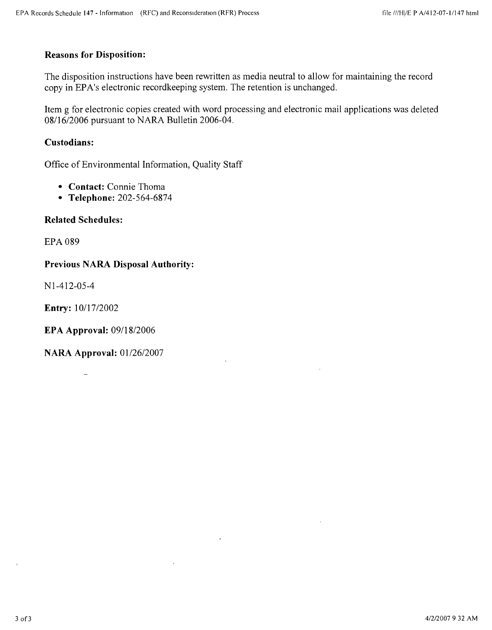# **Reasons for Disposition:**

The disposition instructions have been rewritten as media neutral to allow for maintaining the record copy in EPA's electronic recordkeeping system. The retention is unchanged.

Item g for electronic copies created with word processing and electronic mail applications was deleted *08116/2006* pursuant to NARA Bulletin 2006-04.

# **Custodians:**

Office of Environmental Information, Quality Staff

- **• Contact:** Connie Thoma
- **• Telephone:** 202-564-6874

# **Related Schedules:**

EPA 089

# **Previous NARA Disposal Authority:**

N 1-412-05-4

**Entry:** *10117/2002*

**EPA Approval:** *0911812006*

**NARA Approval:** *01126/2007*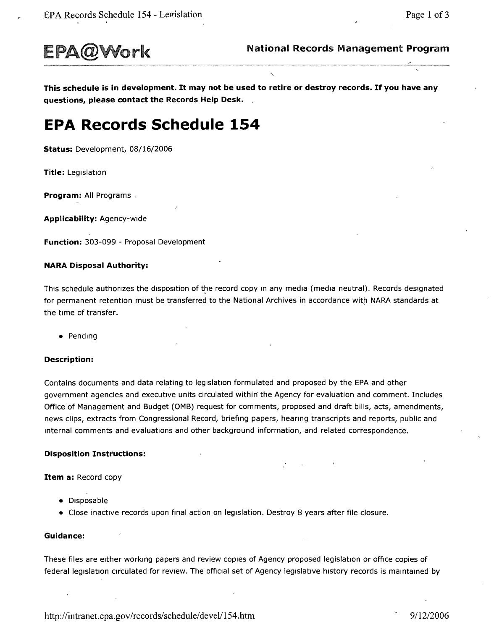

This schedule is in development. It may not be used to retire or destroy records. If you have any **questions, please contact the** Records **Help Desk. .**

# **EPA Records Schedule 154**

**Status:** Development, 08/16/2006

**Title:** Legislation

**Program:** All Programs.

**Applicability:** Agency-wide

**Function:** 303-099 - Proposal Development

#### **NARA Disposal Authority:**

This schedule authorizes the disposition of the record copy in any media (media neutral). Records designated for permanent retention must be transferred to the National Archives in accordance with NARA standards at the time of transfer.

• Pending

#### **Description:**

Contains documents and data relating to legislation formulated and proposed by the EPA and other government agencies and executive units circulated within the Agency for evaluation and comment. Includes Office of Management and Budget (OMB) request for comments, proposed and draft bills, acts, amendments, news clips, extracts from Congressional Record, briefing papers, hearing transcripts and reports, public and Internal comments and evaluations and other background information, and related correspondence.

#### **Disposition Instructions:**

**Item a:** Record copy

- Disposable
- Close inactive records upon final action on legislation. Destroy 8 years after file closure.

#### **Guidance:**

These files are either working papers and review copies of Agency proposed legislation or office copies of federal legislation circulated for review. The official set of Agency legislative history records is maintained by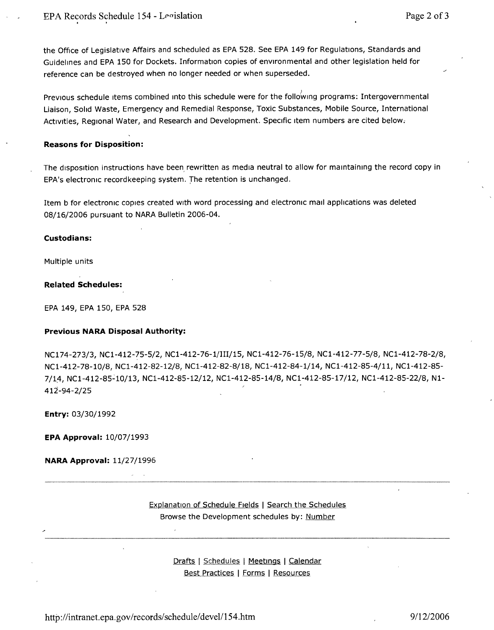the Office of Legislative Affairs and scheduled as EPA 528. See EPA 149 for Regulations, Standards and Guidelines and EPA 150 for Dockets. Information copies of environmental and other legislation held for reference can be destroyed when no longer needed or when superseded.

Previous schedule items combined into this schedule were for the following programs: Intergovernmental Liaison, Solid Waste, Emergency and Remedial Response, Toxic Substances, Mobile Source, International Activities, Regional Water, and Research and Development. Specific item numbers are cited below.

#### **Reasons for Disposition:**

The disposition instructions have been, rewritten as media neutral to allow for maintaining the record copy in EPA's electronic recordkeeping system. The retention is unchanged.

Item b for electronic copies created with word processing and electronic mall applications was deleted 08/16/2006 pursuant to NARA Bulletin 2006-04.

#### **Custodians:**

Multiple units

#### **Related Schedules:**

EPA 149, EPA 150, EPA 528

#### **Previous NARA Disposal Authority:**

NC174-273/3, NCl-412- ?5-5/2, NCl-412-76-1/III/15, NCl-412-76-15/8, NCl-412-77-5/8, NCl-412-78-2/8, NCl-412-78-10/8, NCl-412-82-12/8, NCl-412-82-8/18, NCl-412-84-1/14, NCl-412-85-4/11, NCl-412-85- 7/14, NC1-412-85-10/13, NC1-412-85-12/12, NC1-412-85-14/8, NC1-412-85-17/12, NC1-412-85-22/8, N1-412-94-2/25

**Entry:** 03/30/1992

**EPA Approval:** 10/07/1993

**NARA Approval:** 11/27/1996

Explanation of Schedule Fields | Search the Schedules Browse the Development schedules by: <u>Number</u>

> <u>Drafts | Schedules | Meetings | Calendar</u> Best Practices | Forms | Resources

<http://intranet.epa.gov/records/schedule/>devel/154.htm 9/12/2006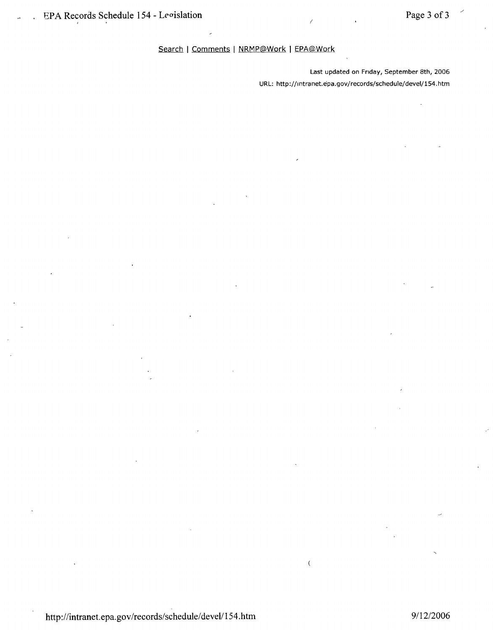### Search | Comments | NRMP@Work | EPA@Work

Last updated on Friday, September 8th, 2006 URL: <http://lntranet.epa.gov/records/schedule/deveI/154.> htm

/

 $\overline{\langle}$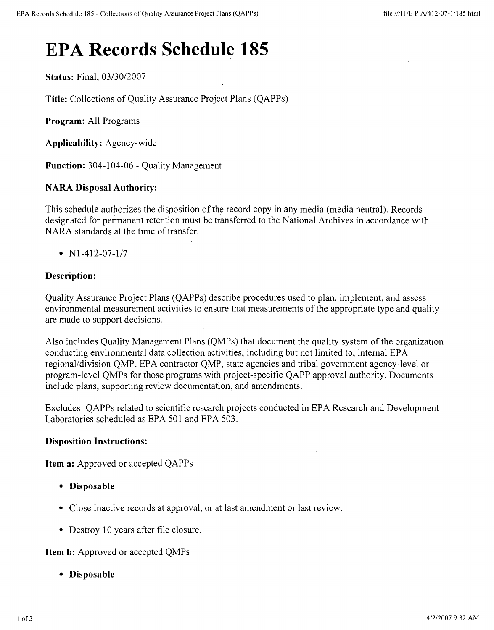# **EPA Records Schedule 185**

**Status:** Final, *03/30/2007*

**Title:** Collections of Quality Assurance Project Plans (QAPPs)

**Program:** All Programs

**Applicability:** Agency-wide

**Function:** 304-104-06 - Quality Management

# **NARA Disposal Authority:**

This schedule authorizes the disposition of the record copy in any media (media neutral). Records designated for permanent retention must be transferred to the National Archives in accordance with NARA standards at the time of transfer.

*• Nl-412-07-117*

### **Description:**

Quality Assurance Project Plans (QAPPs) describe procedures used to plan, implement, and assess environmental measurement activities to ensure that measurements ofthe appropriate type and quality are made to support decisions.

Also includes Quality Management Plans (QMPs) that document the quality system of the organization conducting environmental data collection activities, including but not limited to, internal EPA regional/division QMP, EPA contractor QMP, state agencies and tribal government agency-level or program-level QMPs for those programs with project-specific QAPP approval authority. Documents include plans, supporting review documentation, and amendments.

Excludes: QAPPs related to scientific research projects conducted in EPA Research and Development Laboratories scheduled as EPA 501 and EPA 503.

### **Disposition Instructions:**

**Item a:** Approved or accepted QAPPs

- **• Disposable**
- Close inactive records at approval, or at last amendment or last review.
- Destroy 10 years after file closure.

**Item b:** Approved or accepted QMPs

**• Disposable**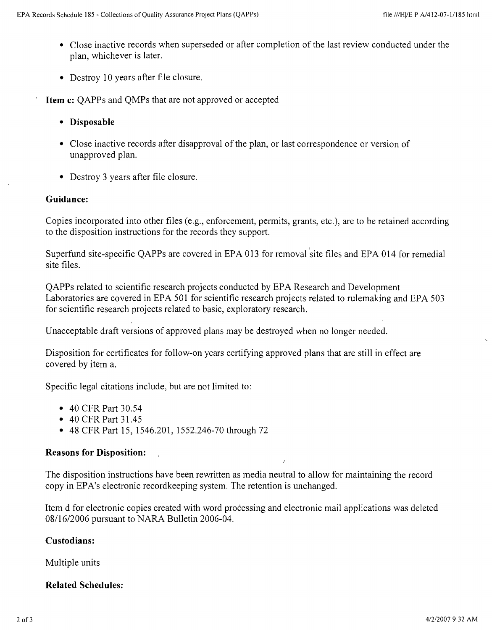- Close inactive records when superseded or after completion of the last review conducted under the plan, whichever is later.
- Destroy 10 years after file closure.
- **Item c:** QAPPs and QMPs that are not approved or accepted
	- **• Disposable**
	- Close inactive records after disapproval of the plan, or last correspondence or version of unapproved plan.
	- Destroy 3 years after file closure.

# **Guidance:**

Copies incorporated into other files (e.g., enforcement, permits, grants, etc.), are to be retained according to the disposition instructions for the records they support.

Superfund site-specific QAPPs are covered in EPA 013 for removal site files and EPA 014 for remedia site files.

QAPPs related to scientific research projects conducted by EPA Research and Development Laboratories are covered in EPA 501 for scientific research projects related to rulemaking and EPA 503 for scientific research projects related to basic, exploratory research.

Unacceptable draft versions of approved plans may be destroyed when no longer needed.

Disposition for certificates for follow-on years certifying approved plans that are still in effect are covered by item a.

Specific legal citations include, but are not limited to:

- 40 CFR Part 30.54
- 40 CFR Part 31.45
- 48 CFR Part 15, 1546.201, 1552.246-70 through 72

# **Reasons for Disposition:**

The disposition instructions have been rewritten as media neutral to allow for maintaining the record copy in EPA's electronic recordkeeping system. The retention is unchanged.

Item d for electronic copies created with word processing and electronic mail applications was deleted *08/1612006* pursuant to NARA Bulletin 2006-04.

# **Custodians:**

Multiple units

# **Related Schedules:**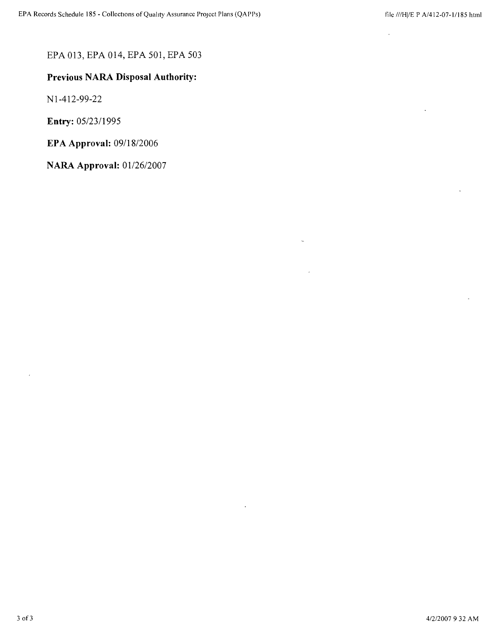# EPA 013, EPA 014, EPA 501, EPA 503

# **Previous NARA Disposal Authority:**

N 1-412-99-22

**Entry:** *05/2311995*

**EPA Approval:** *09118/2006*

**NARA Approval:** *01/26/2007*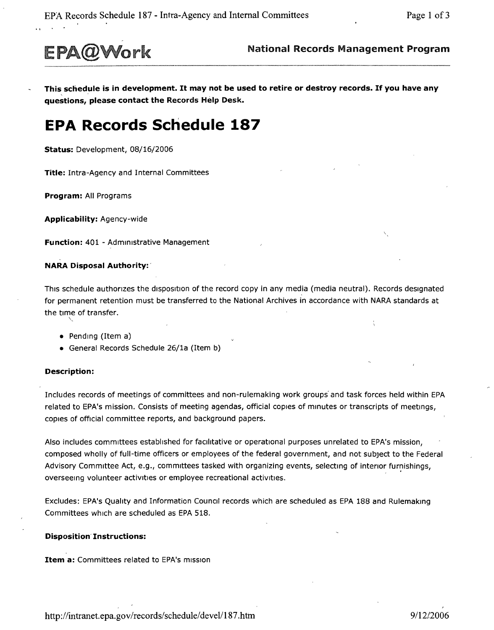

This schedule is in development. It may not be used to retire or destroy records. If you have any **questions, please contact the** Records Help Desk.

# **EPA Records Schedule 187**

**Status:** Development, 08/16/2006

**Title:** Intra-Agency and Internal Committees

**Program:** All Programs

**Applicability:** Agency-wide

**Function:** 401 - Administrative Management

#### **NARA Disposal Authority:'**

This schedule authorizes the disposition of the record copy in any media (media neutral). Records designated for permanent retention must be transferred to the National Archives in accordance with NARA standards at the time of transfe $\searrow$ 

- Pending (Item a)
- General Records Schedule 26/1a (Item b)

#### **Description:**

Includes records of meetings of committees and non-rulemaking work groups' and task forces held within EPA related to EPA's mission. Consists of meeting agendas, official copies of minutes or transcripts of meetings, copies of official committee reports, and background papers.

Also includes committees established for facilitative or operational purposes unrelated to EPA's mission, composed wholly of full-time officers or employees of the federal government, and not subject to the Federal Advisory Committee Act, e.g., committees tasked with organizing events, selecting of interior furnishings, overseeing volunteer activities or employee recreational activities.

Excludes: EPA's Quality and Information Council records which are scheduled as EPA 188 and Rulernakrnq Committees which are scheduled as EPA 518.

#### **Disposition Instructions:**

**Item a:** Committees related to EPA's mission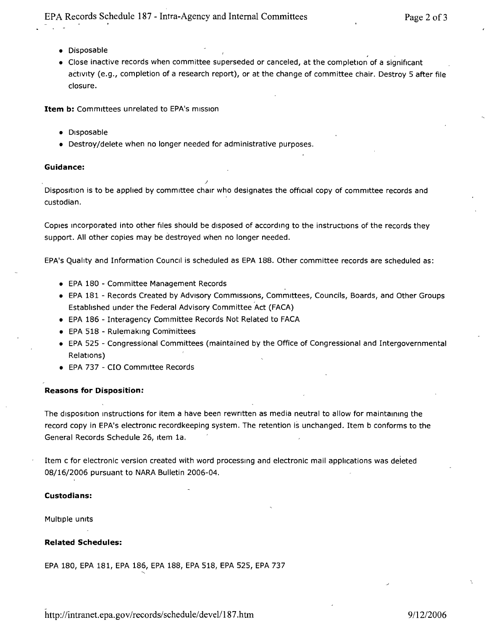- • Disposable
- • Close inactive records when committee superseded or canceled, at the completion of a significant activity (e.g., completion of a research report), or at the change of committee chair. Destroy 5 after file closure.

**Item b:** Committees unrelated to EPA's mission

- • Disposable
- Destroy/delete when no longer needed for administrative purposes.

*.J*

#### **Guidance:**

Disposition is to be applied by committee chair who designates the official copy of committee records and custodian.

Copies Incorporated into other files should be disposed of according to the instructions of the records they support. All other copies may be destroyed when no longer needed.

EPA's Quality and Information Council is scheduled as EPA 188. Other committee records are scheduled as:

- • EPA 180 Committee Management Records
- EPA 181 Records Created by Advisory Commissions, Committees, Councils, Boards, and Other Groups Established under the Federal Advisory Committee Act (FACA)
- EPA 186 Interagency Committee Records Not Related to FACA
- EPA 518 Rulemaking Committees
- • EPA 525 Congressional Committees (maintained by the Office of Congressional and Intergovernmental Relations)
- • EPA 737 C10 Committee Records

#### **Reasons for Disposition:**

The disposition instructions for item a have been rewritten as media neutral to allow for maintaining the record copy in EPA's electronic recordkeeping system. The retention is unchanged. Item b conforms to the General Records Schedule 26, Item 1a.

Item c for electronic version created with word processing and electronic mail applications was deleted 08/16/2006 pursuant to NARA Bulletin 2006-04.

#### **Custodians:**

Multiple units

#### **Related Schedules:**

EPA 180, EPA 181, EPA 186, EPA 188, EPA518, EPA 525, EPA737  $\overline{\phantom{1}}$ 

<http://intranet.epa.gov/records/schedule/>devel/187.htm 9/12/2006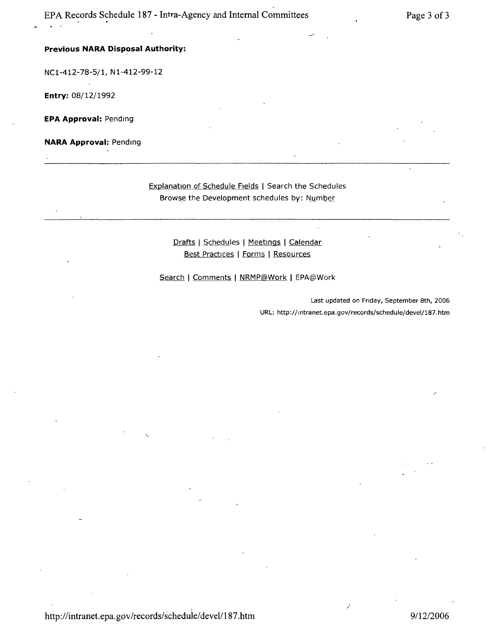#### **Previous NARA Disposal Authority:**

NCl-412-78-5/1, Nl-412-99-12

**Entry:** 08/12/1992

**EPA Approval:** Pending

**NARA Approval:** Pending

#### Explanation of Schedule Fields I Search the Schedules Browse the Development schedules by: Number

<u>Drafts</u> | <u>Schedu</u>les | <u>Meetings</u> | <u>Calendar</u> Best Practices I Forms I Resources

Search | Comments | NRMP@Work | EPA@Work

Last updated on Friday, September 8th, 2006 URL: <http://lntranet.epa.gov/records/schedule/deveI/187.htm>

)

\.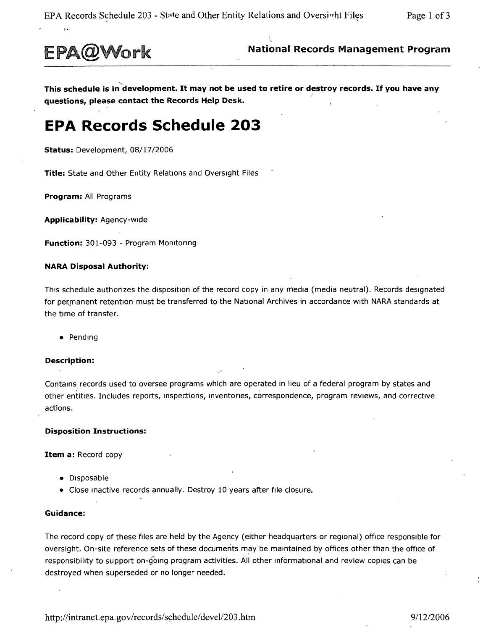

EPA@Work National Records Management Program

"- **This schedule is in development.** It-may **not be used to retire or destroy records. If you have any** <sup>I</sup> **questions, please contact the Records** H\_elp **Desk.**

# **EPA Records Schedule 203**

**Status:** Development, 08/17/2006

**Title:** State and Other Entity Relations and Oversight Files

**Program:** All Programs

**Applicability:** Agency-wide

**Function:** 301-093 - Program MOnitoring

#### **NARA Disposal Authority:**

This schedule authorizes the disposition of the record copy in any media (media neutral). Records designated for permanent retention must be transferred to the National Archives in accordance with NARA standards at the time of transfer.

• Pending

#### **Description:**

Contains records used to oversee programs which are operated in lieu of a federal program by states and other entitles. Includes reports, Inspections, inventories, correspondence, program reviews, and corrective actions.

#### **Disposition Instructions:**

**Item a:** Record copy

- Disposable
- Close Inactive records annually. Destroy 10 years after file closure.

#### **Guidance:**

The record copy of these files are held by the Agency (either headquarters or regional) office responsible for oversight. On-site reference sets of these documents may be maintained by offices other than the office of \ responsibility to support on-going program activities. All other informational and review copies can be destroyed when superseded or no longer needed.

 $\mathbf{A}$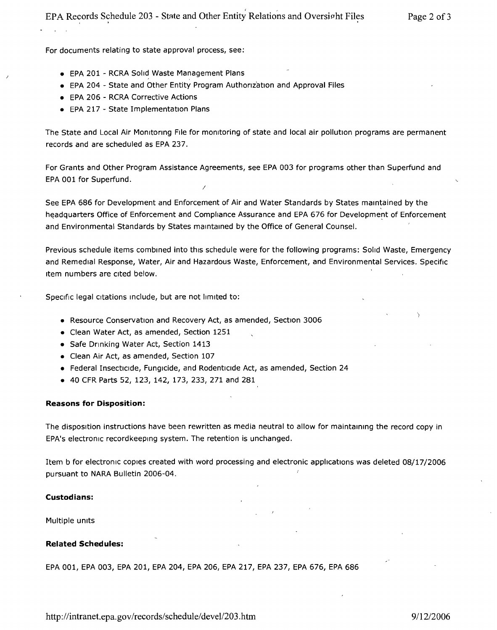For documents relating to state approval process, see:

- EPA 201 RCRA Solid Waste Management Plans
- EPA 204 State and Other Entity Program Authorization and Approval Files
- EPA 206 RCRA Corrective Actions
- EPA 217 State Implementation Plans

The State and Local Air Monitoring File for monitoring of state and local air pollution programs are permanent records and are scheduled as EPA 237.

For Grants and Other Program Assistance Agreements, see EPA 003 for programs other than Superfund and EPA001 for Superfund. *I*

See EPA 686 for Development and Enforcement of Air and Water Standards by States maintained by the headquarters Office of Enforcement and Compliance Assurance and EPA 676 for Development of Enforcement and Environmental Standards by States maintained by the Office of General Counsel.

Previous schedule items combined into this schedule were for the following programs: Solid Waste, Emergency and Remedial Response, Water, Air and Hazardous Waste, Enforcement, and Environmental Services. Specific Item numbers are Cited below.

Specific legal Citations Include, but are not limited to:

- Resource Conservation and Recovery Act, as amended, Section 3006
- Clean Water Act, as amended, Section 1251
- Safe Drinking Water Act, Section 1413
- Clean Air Act, as amended, Section 107
- Federal Insecticide, Fungicide, and Rodenticide Act, as amended, Section 24
- 40 CFR Parts 52, 123, 142, 173, 233, 271 and 281

#### **Reasons for Disposition:**

The disposition instructions have been rewritten as media neutral to allow for maintaining the record copy in EPA's electronic record keeping system. The retention is unchanged.

Item b for electronic copies created with word processing and electronic applications was deleted 08/17/2006 pursuant to NARA Bulletin 2006-04.

#### **Custodians:**

Multiple Units

#### **Related Schedules:**

EPA 001, EPA 003, EPA 201, EPA 204, EPA 206, EPA 217, EPA 237, EPA 676, EPA 686

<http://intranet.epa.gov/records/schedule/> devel/203 .htm *9112/2006*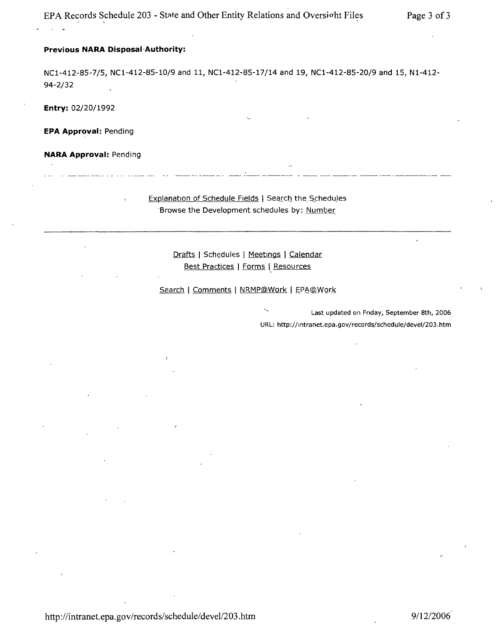### **Previous NARA Disposal-Authority:**

 $\mathbf{r}$ 

94-2/32 NCl-412-85-7/5, NCl-412-85-10/9 and 11, NCl-412-85-17/14 and 19, NCl-412-85-20/9 and 15, Nl-412-

**Entry:** 02/20/1992

**EPA Approval:** Pending

**NARA Approval:** Pending

Explanation of Schedule Fields | Search the Schedules Browse the Development schedules by: Number

> Drafts | Schedules | Meetings | Calendar Best Practices | Forms | Resources

Search | Comments | NRMP@Work | EPA@Work

Last updated on Friday, September 8th, 2006 URL: <http://mtranet.epa.gov/records/schedule/deveI/203.htm>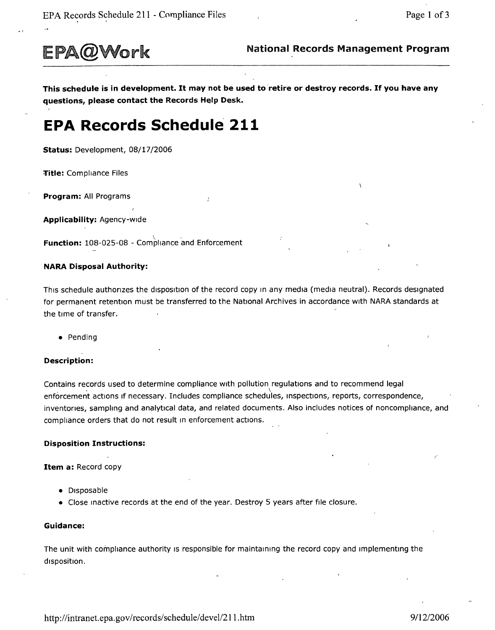

EPA@Work National Records Management Program

This schedule is in development. It may not be used to retire or destroy records. If you have any questions, please contact the Records Help Desk.

# **EPA Records Schedule 211**

Status: Development, 08/17/2006

Title: Compliance Files

Program: All Programs

Applicability: Agency-wide

**Function:** 108-025-08 - Compliance and Enforcement

#### NARA Disposal Authority:

This schedule authorizes the disposition of the record copy In any media (media neutral). Records designated for permanent retention must be transferred to the National Archives in accordance with NARA standards at the time of transfer.

• Pending

#### Description:

Contains records used to determine compliance with pollution regulations and to recommend legal enforcement actions if necessary. Includes compliance schedules, inspections, reports, correspondence, inventories, sampling and analytical data, and related documents. Also includes notices of noncompliance, and compliance orders that do not result In enforcement actions.

#### Disposition Instructions:

Item a: Record copy

- Disposable
- Close Inactive records at the end of the year. Destroy 5 years after file closure.

#### Guidance:

The unit with compliance authority is responsible for maintaining the record copy and implementing the disposition.

<http://intranet.epa.gov/records/schedule/deve1l211.htm> *9/1212006*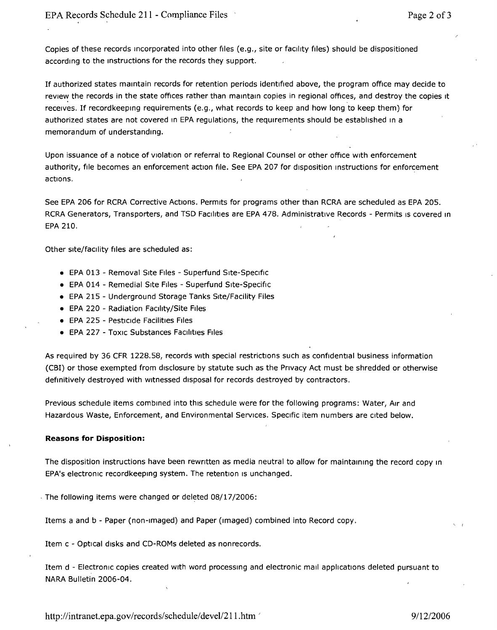Copies of these records Incorporated into other files (e.g., site or facility files) should be dispositioned according to the instructions for the records they support.

If authorized states maintain records for retention periods identified above, the program *office* may decide to review the records in the state offices rather than maintain copies in regional offices, and destroy the copies it receives. If recordkeepmq requirements (e.g., what records to keep and how long to keep them) for authorized states are not covered In EPA regulations, the requirements should be established In a memorandum of understanding.

Upon issuance of a notice of violation or referral to Regional Counselor other *office* with enforcement authority, file becomes an enforcement action file. See EPA 207 for disposition Instructions for enforcement actions.

See EPA 206 for RCRA Corrective Actions. Permits for programs other than RCRA are scheduled as EPA 205. RCRA Generators, Transporters, and TSD Facilities are EPA 478. Administrative Records - Permits is covered in EPA 210.

Other site/facility files are scheduled as:

- EPA 013 Removal Site Files Superfund Site-Specific
- EPA 014 Remedial Site Files Superfund Site-Specific
- EPA 215 Underground Storage Tanks Site/Facility Files
- EPA 220 Radiation Facility/Site Files
- EPA 225 Pesticide Facilities Files
- EPA 227 Toxic Substances Facilities Files

As required by 36 CFR 1228.58, records with special restrictions such as confidential business information (CBI) or those exempted from disclosure by statute such as the Privacy Act must be shredded or otherwise definitively destroyed with witnessed disposal for records destroyed by contractors.

Previous schedule items combined into this schedule were for the following programs: Water, Air and Hazardous Waste, Enforcement, and Environmental Services. Specific item numbers are cited below.

#### **Reasons for Disposition:**

The disposition instructions have been rewritten as media neutral to allow for maintaining the record copy in EPA's electronic recordkeeping system. The retention is unchanged.

- The following items were changed or deleted 08/17/2006:

Items a and b - Paper (non-Imaged) and Paper (Imaged) combined into Record copy.

Item c - Optical disks and CD-ROMs deleted as nonrecords.

Item d - Electronic copies created with word processing and electronic mall applications deleted pursuant to NARA Bulletin 2006-04.

<http://intranet.epa.gov/records/schedule/devei/211.htm> ' *911212006*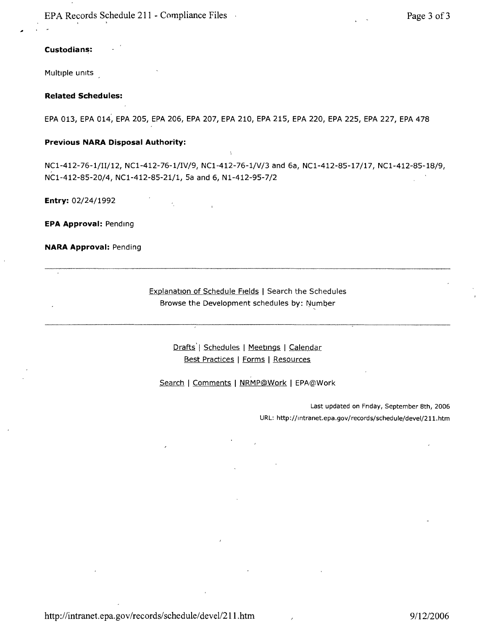EPA Records Schedule 211 - Compliance Files Page 3 of 3

#### Custodians:

Multiple units

#### **Related Schedules:**

EPA 013, EPA 014, EPA 205, EPA 206, EPA 207, EPA 210, EPA 215, EPA 220, EPA 225, EPA 227, EPA 478

#### **Previous NARA Disposal Authority:**

NCl-412-76-1/II/12, NCl-412-76-1/IV/9, NCl-412-76-1/V/3 and 6a, NCl-412-85-17/17, NCl-412-85-18/9, NCl-412-85-20/4, NCl-412-85-21/1, Sa and 6, Nl-412-95-7/2

**Entry:** 02/24/1992

**EPA Approval:** Pending

**NARA Approval:** Pending

Explanation of Schedule Fields | Search the Schedules Browse the Development schedules by: Number

> Drafts | Schedules | Meetings | Calendar Best Practices I Forms I Resources

Search | Comments | NRMP@Work | EPA@Work

Last updated on Friday, September 8th, 2006 URL: <http://lntranet,epa.gov/records/schedule/deveI/211.> htm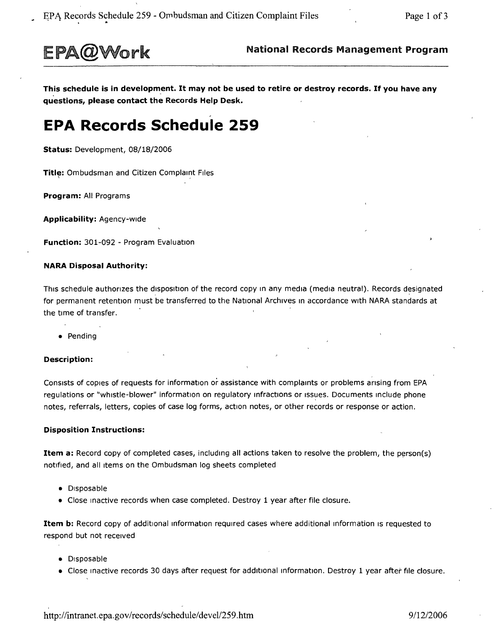

This schedule is in development. It may not be used to retire or destroy records. If you have any questions, please contact the Records Help Desk.

# **EPA Records Schedule 259**

Status: Development, 08/18/2006

Title: Ombudsman and Citizen Complaint Files

Program: All Programs

Applicability: Agency-wide

Function: 301-092 - Program Evaluation

#### NARA Disposal Authority:

This schedule authorizes the disposition of the record copy in any media (media neutral). Records designated for permanent retention must be transferred to the National Archives in accordance with NARA standards at the time of transfer.

• Pending

#### Description:

Consists of copies of requests for information or assistance with complaints or problems arising from EPA regulations or "whistle-blower" information on regulatory infractions or issues. Documents include phone notes, referrals, letters, copies of case log forms, action notes, or other records or response or action.

#### Disposition Instructions:

Item a: Record copy of completed cases, including all actions taken to resolve the problem, the person(s) notified, and all Items on the Ombudsman log sheets completed

- Disposable
- Close Inactive records when case completed. Destroy 1 year after file closure.

Item b: Record copy of additional information required cases where additional information is requested to respond but not received

- Disposable
- Close inactive records 30 days after request for additional information. Destroy 1 year after file closure.

<http://intranet.epa.gov/records/schedule/> deve1l259.htm *9/12/2006*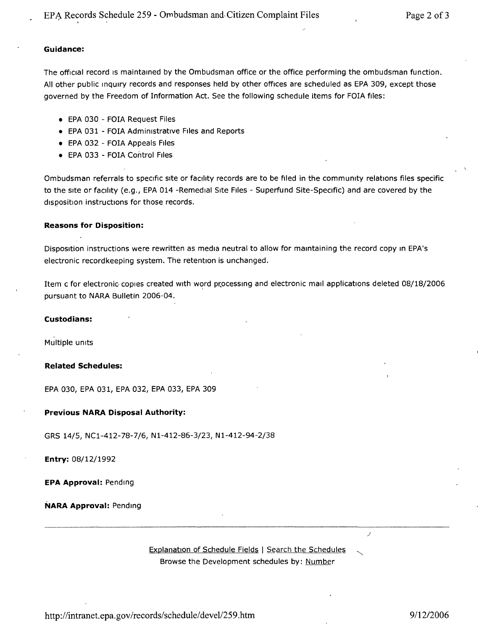### **Guidance:**

The official record is maintained by the Ombudsman office or the office performing the ombudsman function. All other public inquiry records and responses held by other offices are scheduled as EPA 309, except those governed by the Freedom of Information Act. See the following schedule items for FOIA files:

- EPA 030 FOIA Request Files
- EPA 031 FOIA Administrative Files and Reports
- EPA 032 FOIA Appeals Files
- EPA 033 FOIA Control Files

Ombudsman referrals to specific site or facility records are to be filed in the community relations files specific to the site or facility (e.g., EPA 014 -Remedial Site Files - Superfund Site-Specific) and are covered by the disposition instructions for those records.

#### **Reasons for Disposition:**

Disposition instructions were rewritten as media neutral to allow for mamtaining the record copy m EPA's electronic record keeping system. The retention is unchanged.

Item c for electronic copies created with word processing and electronic mail applications deleted 08/18/2006 pursuant to NARA Bulletin 2006-04.

#### **Custodians:**

Multiple units

#### **Related Schedules:**

EPA 030, EPA 031, EPA 032, EPA 033, EPA 309

#### **Previous NARA Disposal Authority:**

GRS 14/5, NCl-412-78-7/6, Nl-412-86-3/23, Nl-412-94-2/38

**Entry:** 08/12/1992

**EPA Approval:** Pendmg

**NARA Approval:** Pendmg

Explanation of Schedule Fields | Search the Schedules Browse the Development schedules by: Number

<http://intranet.epa.gov/records/schedule/> deve1l259.htm *9112/2006*

)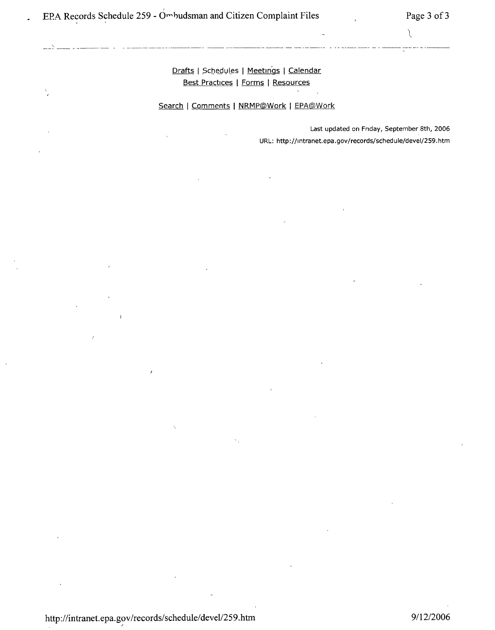# <u>Drafts</u> | Schedules | <u>Meetings</u> | Calendar Best Practices | Forms | Resources

-, ~-- --~- ~ ----.----- -- ~ <sup>~</sup> ---.,.~,~---~- - ---~--~-- --"--~-- ----~~--,.-""""'-- -----~- ~ ---- -~~--- - «- ---- -~--- -~ - ----~~ "---, ..-- - -~~~

Search I Comments I NRMP@Work I EPA@Work

Last updated on Fnday, September 8th, 2006 URL: <http://lntranet.epa.gov/records/schedule/deveI/259.htm>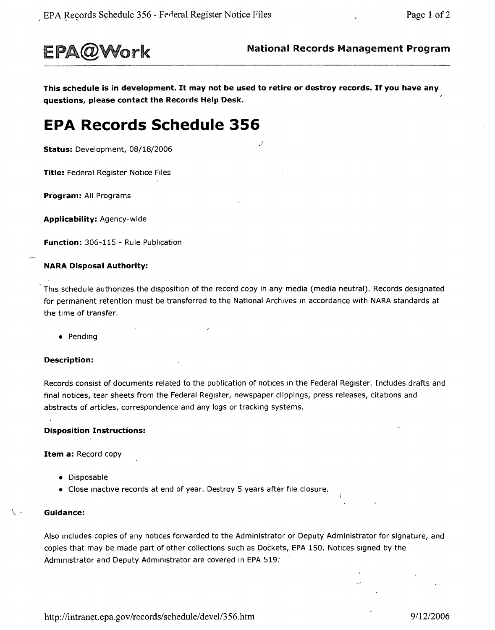

This schedule is in development. It may not be used to retire or destroy records. If you have any questions, please contact the Records Help Desk.

# **EPA Records Schedule 356**

Status: Development, 08/18/2006

Title: Federal Register Notice Files

Program: All Programs

Applicability: Agency-wide

Function: 306-115 - Rule Publication

#### NARA Disposal Authority:

This schedule authorizes the disposition of the record copy in any media (media neutral). Records designated for permanent retention must be transferred to the National Archives in accordance with NARA standards at the time of transfer.

• Pending

#### Description:

Records consist of documents related to the publication of notices in the Federal Register. Includes drafts and final notices, tear sheets from the Federal Register, newspaper clippings, press releases, citations and abstracts of articles, correspondence and any logs or tracking systems.

#### Disposition Instructions:

Item a: Record copy

- Disposable
- Close inactive records at end of year. Destroy 5 years after file closure.

#### Guidance:

Also Includes copies of any notices forwarded to the Administrator or Deputy Administrator for signature, and copies that may be made part of other collections such as Dockets, EPA 150. Notices signed by the Administrator and Deputy Administrator are covered in EPA 519.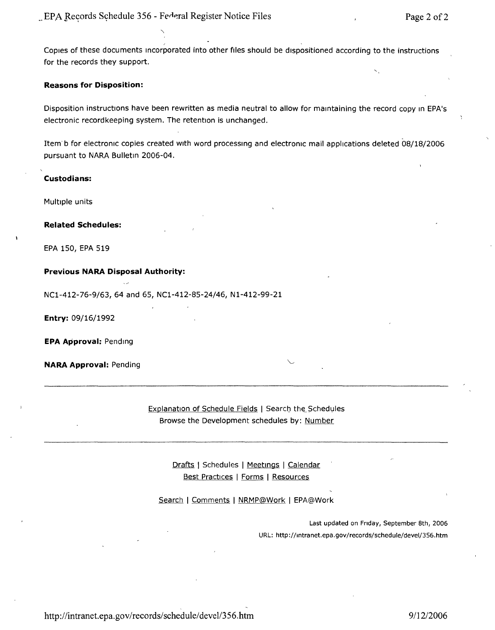$,$ Copies of these documents incorporated into other files should be dispositioned according to the instructions for the records they support.

#### **Reasons for Disposition:**

Disposition instructions have been rewritten as media neutral to allow for maintaining the record copy in EPA's electronic recordkeeping system. The retention is unchanged.

Item' b for electronic copies created with word processing and electronic mail applications deleted 08/18/2006 pursuant to NARA Bulletin 2006-04.

#### **Custodians:**

Multiple units

**Related Schedules:**

EPA 150, EPA 519

#### **Previous NARA Disposal Authority:**

NC1-412-76-9/63, 64 and 65, NC1-412-85-24/46, N1-412-99-21

**Entry:** 09/16/1992

**EPA Approval:** Pending

**NARA Approval:** Pending

Explanation of Schedule Fields | Search the Schedules Browse the Development schedules by: <u>Number</u>

> <u>Drafts</u> | Schedules | <u>Meetings</u> | <u>Calendar</u> <u>Best Practices</u> | <u>Forms</u> | <u>Resources</u>

Search | Comments | NRMP@Work | EPA@Work

Last updated on Friday, September 8th, 2006 URL: <http://lntranet.epa.gov/records/schedule/deveI/356.htm>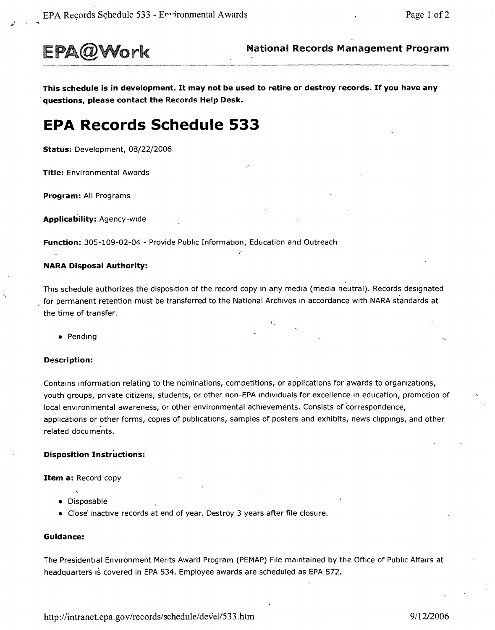

**EPA@Work** National Records Management Program

This schedule is in development. It may not be used to retire or destroy records. If you have any **'questions, please contact the Records Help Desk.**

/

# **EPA Records Schedule 533**

**Status:** Development, 08/22/2006,

**Title:** Environmental Awards

**Program:** All Programs

**Applicability:** Agency-wide

**Function:** 305-109-02-04 - Provide Public Information, Education and Outreach

#### **NARA Disposal Authority:**

This schedule authorizes the disposition of the record copy in any media (media neutral). Records designated for permanent retention must be transferred to the National Archives In accordance with NARA standards at the time of transfer.

L

• Pending

#### **Description:**

Contains Information relating to the nominations, competitions, or applications for awards to organizations, youth groups, pnvate citizens, students, or other non-EPA individuals for excellence In education, promotion of local environmental awareness, or other environmental achievements. Consists of correspondence, applications or other forms, copies of publications, samples of posters and exhibits, news chppinqs, and other related documents.

#### **Disposition Instructions:**

**Item a:** Record copy

- Disposable
- Close' inactive records at end of year. Destroy 3 years after file closure.

#### **Guidance:**

The Presidential Environment Ments Award Program (PEMAP) File maintained by the Office of Public Affairs at <sup>I</sup> headquarters is covered in EPA 534. Employee awards are scheduled as EPA 572.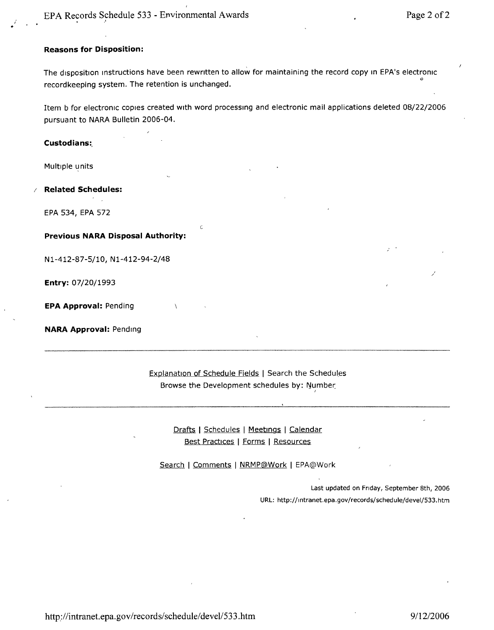#### **Reasons for Disposition:**

The disposition instructions have been rewritten to allow for maintaining the record copy in EPA's electronic record keeping system. The retention is unchanged.

Item b for electronic copies created with word processing and electronic mail applications deleted 08/22/2006 pursuant to NARA Bulletin 2006-04.

c

**Custodians:,**

Multiple units

*I* **Related Schedules:**

EPA 534, EPA 572

**Previous NARA Disposal Authority:**

N1-412-87-5/10, N1-412-94-2/48

**Entry:** 07/20/1993

**EPA Approval:** Pending

**NARA Approval:** Pending

Explanation of Schedule Fields | Search the Schedules Browse the Development schedules by: Number: *<sup>I</sup>*

> Drafts I Schedules I Meetings I Calendar Best Practices | Forms | Resources

Search | Comments | NRMP@Work | EPA@Work

Last updated on Friday, September 8th, 2006 URL: <http://lntranet,epa.gov/records/schedule/deveI/533> .htm

http://intranet.epa.gov/records/schedule/devel/533.htm *9/12/2006*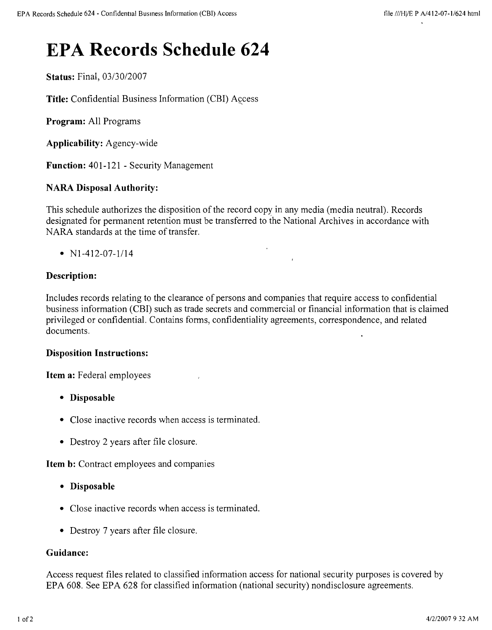# **EPA Records Schedule 624**

**Status:** Final, *03/30/2007*

**Title:** Confidential Business Information (CBI) Access

**Program:** All Programs

**Applicability:** Agency-wide

**Function:** 401-121 - Security Management

# **NARA Disposal Authority:**

This schedule authorizes the disposition of the record copy in any media (media neutral). Records designated for permanent retention must be transferred to the National Archives in accordance with NARA standards at the time of transfer.

•  $N1-412-07-1/14$ 

# **Description:**

Includes records relating to the clearance of persons and companies that require access to confidential business information (CBI) such as trade secrets and commercial or financial information that is claimed privileged or confidential. Contains forms, confidentiality agreements, correspondence, and related documents.

# **Disposition Instructions:**

**Item a:** Federal employees

- **• Disposable**
- Close inactive records when access is terminated.
- Destroy 2 years after file closure.

**Item b:** Contract employees and companies

- **• Disposable**
- Close inactive records when access is terminated.
- Destroy 7 years after file closure.

### **Guidance:**

Access request files related to classified information access for national security purposes is covered by EPA 608. See EPA 628 for classified information (national security) nondisclosure agreements.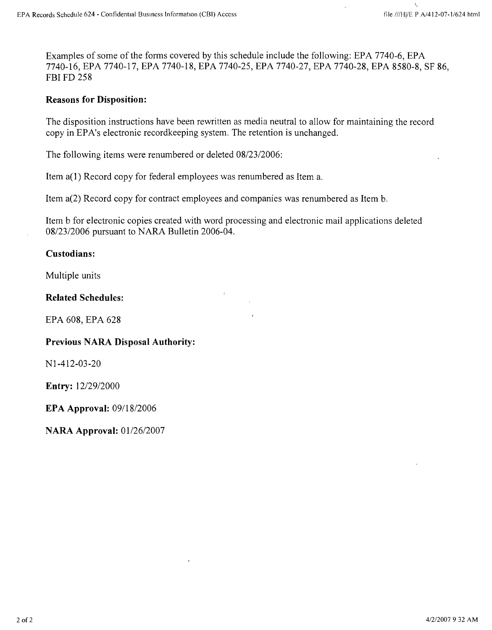Examples of some of the forms covered by this schedule include the following: EPA 7740-6, EPA 7740-16, EPA 7740-17, EPA 7740-18, EPA 7740-25, EPA 7740-27, EPA 7740-28, EPA 8580-8, SF 86, FBI FD 258

# **Reasons for Disposition:**

The disposition instructions have been rewritten as media neutral to allow for maintaining the record copy in EPA's electronic recordkeeping system. The retention is unchanged.

The following items were renumbered or deleted *08/23/2006:*

Item a(1) Record copy for federal employees was renumbered as Item a.

Item a(2) Record copy for contract employees and companies was renumbered as Item b.

Item b for electronic copies created with word processing and electronic mail applications deleted *0812312006* pursuant to NARA Bulletin 2006-04.

 $\mathbf{r}$ 

# **Custodians:**

Multiple units

### **Related Schedules:**

EPA 608, EPA 628

# **Previous NARA Disposal Authority:**

NI-412-03-20

**Entry:** *12/29/2000*

**EPA Approval:** *0911812006*

**NARA Approval:** 01/26/2007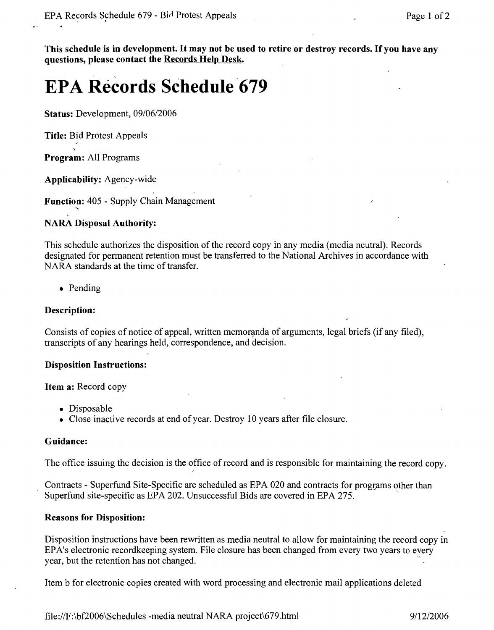**This schedule is in** development. It **may not be used to retire or destroy records.** If you **have any questions, please contact the Records Help Desk.** 

# **EPA Records Schedule '679**

**Status:** Development, *09/0612006*

**Title:** Bid Protest Appeals

**Program:** All Programs

**Applicability:** Agency-wide

**Function:** 405 - Supply Chain Management

# **NARA Disposal Authority:**

This schedule authorizes the disposition of the record copy in any media (media neutral). Records designated for permanent retention must be transferred to the National Archives in accordance with NARA standards at the time of transfer.

• Pending

# **Description:**

Consists of copies of notice of appeal, written memoranda of arguments, legal briefs (if any filed), transcripts of any hearings held, correspondence, and decision.

# **Disposition Instructions:**

**Item a:** Record copy

- Disposable
- Close inactive records at end of year. Destroy 10 years after file closure.

)

# **Guidance:**

The office issuing the decision is the office of record and is responsible for maintaining the record copy.

Contracts - Superfund Site-Specific are scheduled as EPA 020 and contracts for programs other than Superfund site-specific as EPA 202. Unsuccessful Bids are covered in EPA 275. .

# **Reasons for Disposition:**

Disposition instructions have been rewritten as media neutral to allow for maintaining the record copy in EPA's electronic recordkeeping system. File closure has been changed from every two years to every year, but the retention has not changed.

Item b for electronic copies created with word processing and electronic mail applications deleted

file:IIF:\bf2006\Schedules -media neutral NARA project\679.html *9/1212006*